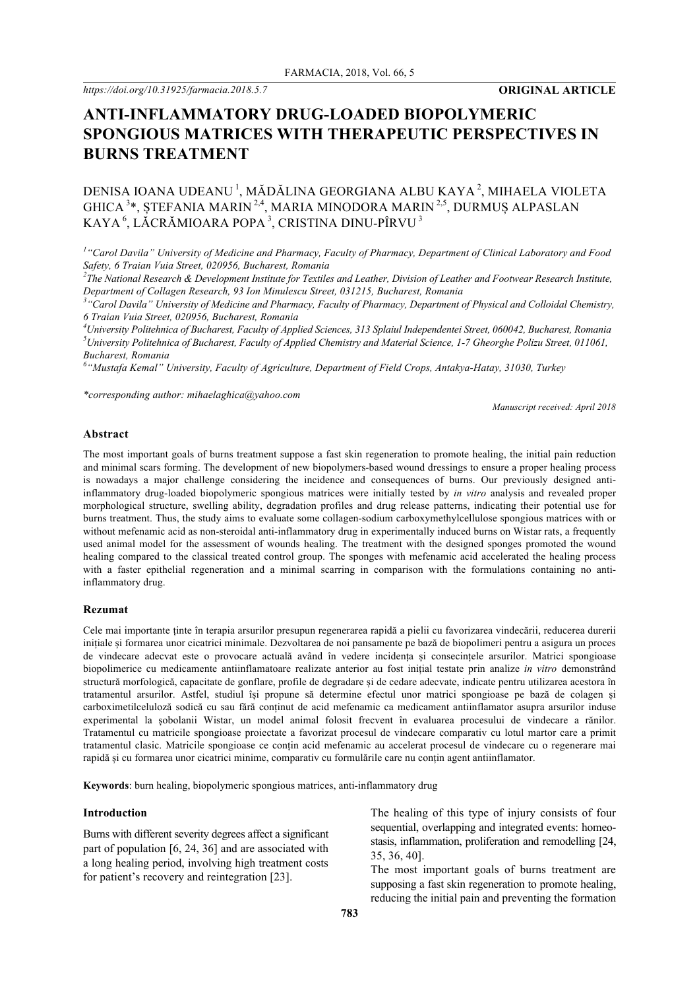*https://doi.org/10.31925/farmacia.2018.5.7* **ORIGINAL ARTICLE**

# **ANTI-INFLAMMATORY DRUG-LOADED BIOPOLYMERIC SPONGIOUS MATRICES WITH THERAPEUTIC PERSPECTIVES IN BURNS TREATMENT**

## DENISA IOANA UDEANU<sup>1</sup>, MĂDĂLINA GEORGIANA ALBU KAYA<sup>2</sup>, MIHAELA VIOLETA GHICA <sup>3</sup>\*, ȘTEFANIA MARIN <sup>2,4</sup>, MARIA MINODORA MARIN <sup>2,5</sup>, DURMUȘ ALPASLAN KAYA <sup>6</sup>, LĂCRĂMIOARA POPA <sup>3</sup>, CRISTINA DINU-PÎRVU <sup>3</sup>

<sup>1</sup> "Carol Davila" University of Medicine and Pharmacy, Faculty of Pharmacy, Department of Clinical Laboratory and Food *Safety, 6 Traian Vuia Street, 020956, Bucharest, Romania*

*2 The National Research & Development Institute for Textiles and Leather, Division of Leather and Footwear Research Institute, Department of Collagen Research, 93 Ion Minulescu Street, 031215, Bucharest, Romania*

*3 "Carol Davila" University of Medicine and Pharmacy, Faculty of Pharmacy, Department of Physical and Colloidal Chemistry, 6 Traian Vuia Street, 020956, Bucharest, Romania*

*4 University Politehnica of Bucharest, Faculty of Applied Sciences, 313 Splaiul Independentei Street, 060042, Bucharest, Romania 5 University Politehnica of Bucharest, Faculty of Applied Chemistry and Material Science, 1-7 Gheorghe Polizu Street, 011061, Bucharest, Romania*

*6 "Mustafa Kemal" University, Faculty of Agriculture, Department of Field Crops, Antakya-Hatay, 31030, Turkey*

*\*corresponding author: mihaelaghica@yahoo.com*

*Manuscript received: April 2018*

## **Abstract**

The most important goals of burns treatment suppose a fast skin regeneration to promote healing, the initial pain reduction and minimal scars forming. The development of new biopolymers-based wound dressings to ensure a proper healing process is nowadays a major challenge considering the incidence and consequences of burns. Our previously designed antiinflammatory drug-loaded biopolymeric spongious matrices were initially tested by *in vitro* analysis and revealed proper morphological structure, swelling ability, degradation profiles and drug release patterns, indicating their potential use for burns treatment. Thus, the study aims to evaluate some collagen-sodium carboxymethylcellulose spongious matrices with or without mefenamic acid as non-steroidal anti-inflammatory drug in experimentally induced burns on Wistar rats, a frequently used animal model for the assessment of wounds healing. The treatment with the designed sponges promoted the wound healing compared to the classical treated control group. The sponges with mefenamic acid accelerated the healing process with a faster epithelial regeneration and a minimal scarring in comparison with the formulations containing no antiinflammatory drug.

#### **Rezumat**

Cele mai importante ținte în terapia arsurilor presupun regenerarea rapidă a pielii cu favorizarea vindecării, reducerea durerii inițiale și formarea unor cicatrici minimale. Dezvoltarea de noi pansamente pe bază de biopolimeri pentru a asigura un proces de vindecare adecvat este o provocare actuală având în vedere incidența și consecințele arsurilor. Matrici spongioase biopolimerice cu medicamente antiinflamatoare realizate anterior au fost inițial testate prin analize *in vitro* demonstrând structură morfologică, capacitate de gonflare, profile de degradare și de cedare adecvate, indicate pentru utilizarea acestora în tratamentul arsurilor. Astfel, studiul își propune să determine efectul unor matrici spongioase pe bază de colagen și carboximetilceluloză sodică cu sau fără conținut de acid mefenamic ca medicament antiinflamator asupra arsurilor induse experimental la șobolanii Wistar, un model animal folosit frecvent în evaluarea procesului de vindecare a rănilor. Tratamentul cu matricile spongioase proiectate a favorizat procesul de vindecare comparativ cu lotul martor care a primit tratamentul clasic. Matricile spongioase ce conțin acid mefenamic au accelerat procesul de vindecare cu o regenerare mai rapidă și cu formarea unor cicatrici minime, comparativ cu formulările care nu conțin agent antiinflamator.

**Keywords**: burn healing, biopolymeric spongious matrices, anti-inflammatory drug

#### **Introduction**

Burns with different severity degrees affect a significant part of population [6, 24, 36] and are associated with a long healing period, involving high treatment costs for patient's recovery and reintegration [23].

The healing of this type of injury consists of four sequential, overlapping and integrated events: homeostasis, inflammation, proliferation and remodelling [24, 35, 36, 40].

The most important goals of burns treatment are supposing a fast skin regeneration to promote healing, reducing the initial pain and preventing the formation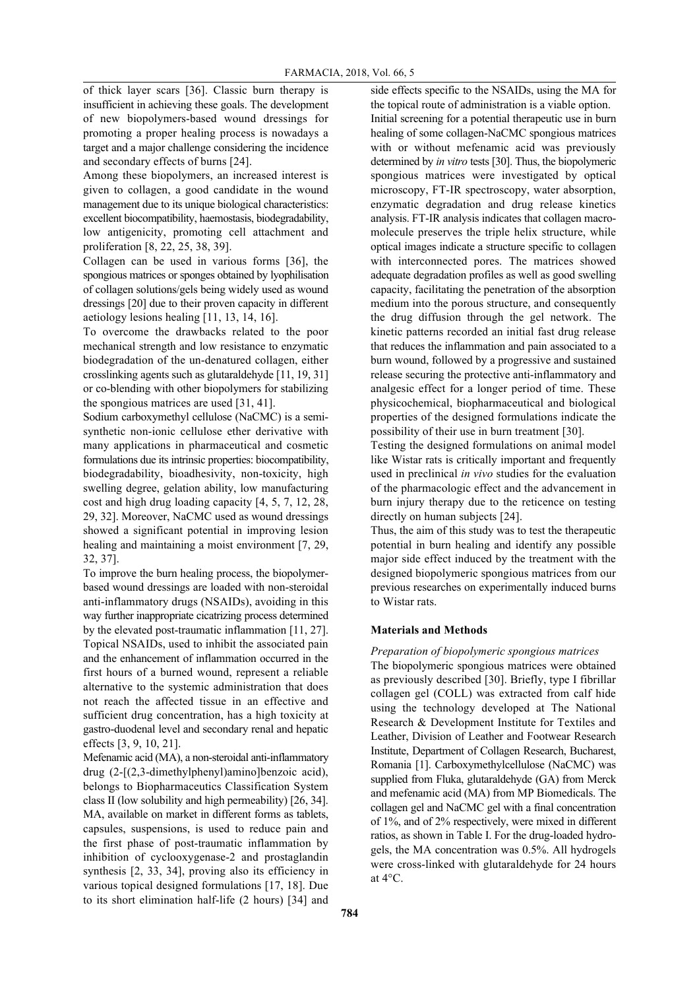of thick layer scars [36]. Classic burn therapy is insufficient in achieving these goals. The development of new biopolymers-based wound dressings for promoting a proper healing process is nowadays a target and a major challenge considering the incidence and secondary effects of burns [24].

Among these biopolymers, an increased interest is given to collagen, a good candidate in the wound management due to its unique biological characteristics: excellent biocompatibility, haemostasis, biodegradability, low antigenicity, promoting cell attachment and proliferation [8, 22, 25, 38, 39].

Collagen can be used in various forms [36], the spongious matrices or sponges obtained by lyophilisation of collagen solutions/gels being widely used as wound dressings [20] due to their proven capacity in different aetiology lesions healing [11, 13, 14, 16].

To overcome the drawbacks related to the poor mechanical strength and low resistance to enzymatic biodegradation of the un-denatured collagen, either crosslinking agents such as glutaraldehyde [11, 19, 31] or co-blending with other biopolymers for stabilizing the spongious matrices are used [31, 41].

Sodium carboxymethyl cellulose (NaCMC) is a semisynthetic non-ionic cellulose ether derivative with many applications in pharmaceutical and cosmetic formulations due its intrinsic properties: biocompatibility, biodegradability, bioadhesivity, non-toxicity, high swelling degree, gelation ability, low manufacturing cost and high drug loading capacity [4, 5, 7, 12, 28, 29, 32]. Moreover, NaCMC used as wound dressings showed a significant potential in improving lesion healing and maintaining a moist environment [7, 29, 32, 37].

To improve the burn healing process, the biopolymerbased wound dressings are loaded with non-steroidal anti-inflammatory drugs (NSAIDs), avoiding in this way further inappropriate cicatrizing process determined by the elevated post-traumatic inflammation [11, 27]. Topical NSAIDs, used to inhibit the associated pain and the enhancement of inflammation occurred in the first hours of a burned wound, represent a reliable alternative to the systemic administration that does not reach the affected tissue in an effective and sufficient drug concentration, has a high toxicity at gastro-duodenal level and secondary renal and hepatic effects [3, 9, 10, 21].

Mefenamic acid (MA), a non-steroidal anti-inflammatory drug (2-[(2,3-dimethylphenyl)amino]benzoic acid), belongs to Biopharmaceutics Classification System class II (low solubility and high permeability) [26, 34]. MA, available on market in different forms as tablets, capsules, suspensions, is used to reduce pain and the first phase of post-traumatic inflammation by inhibition of cyclooxygenase-2 and prostaglandin synthesis [2, 33, 34], proving also its efficiency in various topical designed formulations [17, 18]. Due to its short elimination half-life (2 hours) [34] and

side effects specific to the NSAIDs, using the MA for the topical route of administration is a viable option. Initial screening for a potential therapeutic use in burn healing of some collagen-NaCMC spongious matrices with or without mefenamic acid was previously determined by *in vitro* tests [30]. Thus, the biopolymeric spongious matrices were investigated by optical microscopy, FT-IR spectroscopy, water absorption, enzymatic degradation and drug release kinetics analysis. FT-IR analysis indicates that collagen macromolecule preserves the triple helix structure, while optical images indicate a structure specific to collagen with interconnected pores. The matrices showed adequate degradation profiles as well as good swelling capacity, facilitating the penetration of the absorption medium into the porous structure, and consequently the drug diffusion through the gel network. The kinetic patterns recorded an initial fast drug release that reduces the inflammation and pain associated to a burn wound, followed by a progressive and sustained release securing the protective anti-inflammatory and analgesic effect for a longer period of time. These physicochemical, biopharmaceutical and biological properties of the designed formulations indicate the possibility of their use in burn treatment [30].

Testing the designed formulations on animal model like Wistar rats is critically important and frequently used in preclinical *in vivo* studies for the evaluation of the pharmacologic effect and the advancement in burn injury therapy due to the reticence on testing directly on human subjects [24].

Thus, the aim of this study was to test the therapeutic potential in burn healing and identify any possible major side effect induced by the treatment with the designed biopolymeric spongious matrices from our previous researches on experimentally induced burns to Wistar rats.

## **Materials and Methods**

*Preparation of biopolymeric spongious matrices* The biopolymeric spongious matrices were obtained as previously described [30]. Briefly, type I fibrillar collagen gel (COLL) was extracted from calf hide using the technology developed at The National Research & Development Institute for Textiles and Leather, Division of Leather and Footwear Research Institute, Department of Collagen Research, Bucharest, Romania [1]. Carboxymethylcellulose (NaCMC) was supplied from Fluka, glutaraldehyde (GA) from Merck and mefenamic acid (MA) from MP Biomedicals. The collagen gel and NaCMC gel with a final concentration of 1%, and of 2% respectively, were mixed in different ratios, as shown in Table I. For the drug-loaded hydrogels, the MA concentration was 0.5%. All hydrogels were cross-linked with glutaraldehyde for 24 hours at 4°C.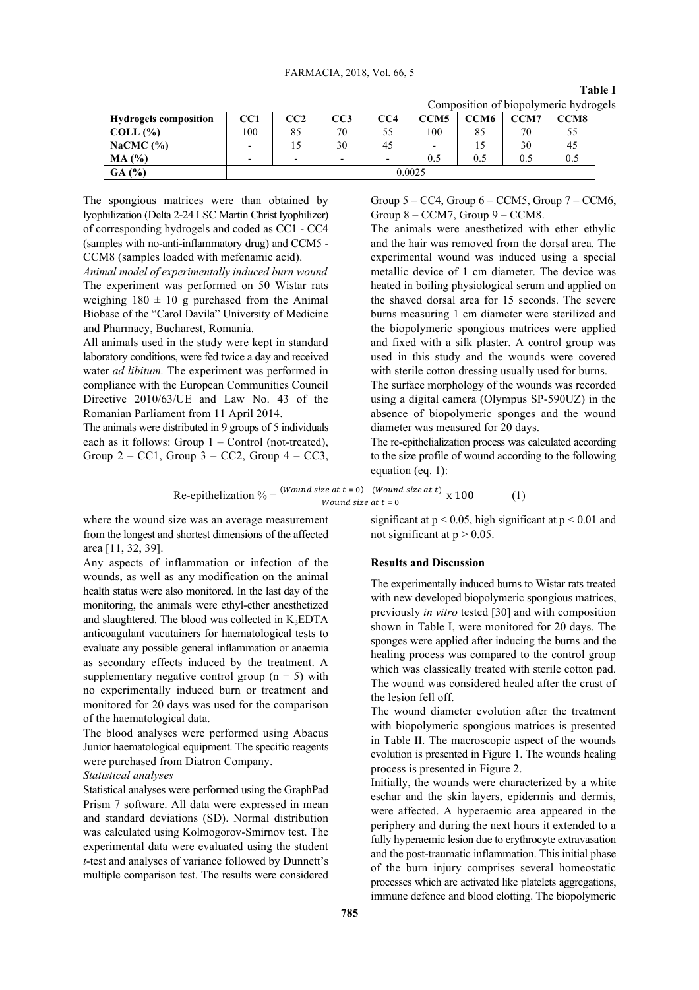| <b>Hydrogels composition</b> | CC1    | CC2                      | CC3                      | CC4                      | CCM <sub>5</sub>         | CCM <sub>6</sub> | <b>CCM7</b> | CCM8 |
|------------------------------|--------|--------------------------|--------------------------|--------------------------|--------------------------|------------------|-------------|------|
| $COLL$ $(\%)$                | ,00    | 85                       | 70                       |                          | 100                      | 85               | 70          |      |
| NaCMC $(%)$                  |        |                          | 30                       | 45                       | $\overline{\phantom{0}}$ |                  | 30          | 45   |
| MA (%)                       |        | $\overline{\phantom{0}}$ | $\overline{\phantom{0}}$ | $\overline{\phantom{0}}$ | 0.5                      | 0.5              | 0.5         | 0.5  |
| GA(%)                        | 0.0025 |                          |                          |                          |                          |                  |             |      |

Composition of biopolymeric hydrogels

**Table I**

The spongious matrices were than obtained by lyophilization (Delta 2-24 LSC Martin Christ lyophilizer) of corresponding hydrogels and coded as CC1 - CC4 (samples with no-anti-inflammatory drug) and CCM5 - CCM8 (samples loaded with mefenamic acid).

*Animal model of experimentally induced burn wound* The experiment was performed on 50 Wistar rats weighing  $180 \pm 10$  g purchased from the Animal Biobase of the "Carol Davila" University of Medicine and Pharmacy, Bucharest, Romania.

All animals used in the study were kept in standard laboratory conditions, were fed twice a day and received water *ad libitum.* The experiment was performed in compliance with the European Communities Council Directive 2010/63/UE and Law No. 43 of the Romanian Parliament from 11 April 2014.

The animals were distributed in 9 groups of 5 individuals each as it follows: Group 1 – Control (not-treated), Group  $2 - CC1$ , Group  $3 - CC2$ , Group  $4 - CC3$ ,

Group  $5 - CC4$ , Group  $6 - CCM5$ , Group  $7 - CCM6$ , Group  $8 - CCM7$ , Group  $9 - CCM8$ .

The animals were anesthetized with ether ethylic and the hair was removed from the dorsal area. The experimental wound was induced using a special metallic device of 1 cm diameter. The device was heated in boiling physiological serum and applied on the shaved dorsal area for 15 seconds. The severe burns measuring 1 cm diameter were sterilized and the biopolymeric spongious matrices were applied and fixed with a silk plaster. A control group was used in this study and the wounds were covered with sterile cotton dressing usually used for burns.

The surface morphology of the wounds was recorded using a digital camera (Olympus SP-590UZ) in the absence of biopolymeric sponges and the wound diameter was measured for 20 days.

The re-epithelialization process was calculated according to the size profile of wound according to the following equation (eq. 1):

Re-epithelization 
$$
\% = \frac{(Wound size at t = 0) - (Wound size at t)}{Wound size at t = 0}
$$
 x 100 (1)

where the wound size was an average measurement from the longest and shortest dimensions of the affected area [11, 32, 39].

Any aspects of inflammation or infection of the wounds, as well as any modification on the animal health status were also monitored. In the last day of the monitoring, the animals were ethyl-ether anesthetized and slaughtered. The blood was collected in  $K_3EDTA$ anticoagulant vacutainers for haematological tests to evaluate any possible general inflammation or anaemia as secondary effects induced by the treatment. A supplementary negative control group  $(n = 5)$  with no experimentally induced burn or treatment and monitored for 20 days was used for the comparison of the haematological data.

The blood analyses were performed using Abacus Junior haematological equipment. The specific reagents were purchased from Diatron Company.

## *Statistical analyses*

Statistical analyses were performed using the GraphPad Prism 7 software. All data were expressed in mean and standard deviations (SD). Normal distribution was calculated using Kolmogorov-Smirnov test. The experimental data were evaluated using the student *t*-test and analyses of variance followed by Dunnett's multiple comparison test. The results were considered significant at  $p < 0.05$ , high significant at  $p < 0.01$  and not significant at  $p > 0.05$ .

## **Results and Discussion**

The experimentally induced burns to Wistar rats treated with new developed biopolymeric spongious matrices, previously *in vitro* tested [30] and with composition shown in Table I, were monitored for 20 days. The sponges were applied after inducing the burns and the healing process was compared to the control group which was classically treated with sterile cotton pad. The wound was considered healed after the crust of the lesion fell off.

The wound diameter evolution after the treatment with biopolymeric spongious matrices is presented in Table II. The macroscopic aspect of the wounds evolution is presented in Figure 1. The wounds healing process is presented in Figure 2.

Initially, the wounds were characterized by a white eschar and the skin layers, epidermis and dermis, were affected. A hyperaemic area appeared in the periphery and during the next hours it extended to a fully hyperaemic lesion due to erythrocyte extravasation and the post-traumatic inflammation. This initial phase of the burn injury comprises several homeostatic processes which are activated like platelets aggregations, immune defence and blood clotting. The biopolymeric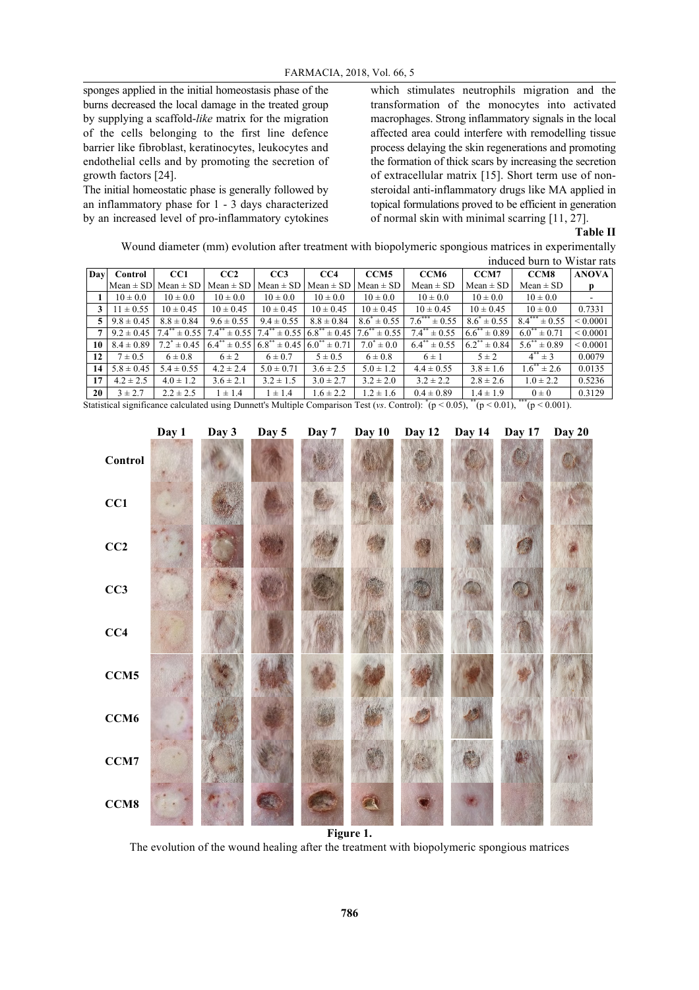sponges applied in the initial homeostasis phase of the burns decreased the local damage in the treated group by supplying a scaffold-*like* matrix for the migration of the cells belonging to the first line defence barrier like fibroblast, keratinocytes, leukocytes and endothelial cells and by promoting the secretion of growth factors [24].

The initial homeostatic phase is generally followed by an inflammatory phase for 1 - 3 days characterized by an increased level of pro-inflammatory cytokines which stimulates neutrophils migration and the transformation of the monocytes into activated macrophages. Strong inflammatory signals in the local affected area could interfere with remodelling tissue process delaying the skin regenerations and promoting the formation of thick scars by increasing the secretion of extracellular matrix [15]. Short term use of nonsteroidal anti-inflammatory drugs like MA applied in topical formulations proved to be efficient in generation of normal skin with minimal scarring [11, 27].

#### **Table II**

Wound diameter (mm) evolution after treatment with biopolymeric spongious matrices in experimentally induced burn to Wistar rats

| Day | Control        | CC <sub>1</sub>                | CC2                                 | CC3                          | CC4                                     | CCM <sub>5</sub>         | CCM <sub>6</sub>               | CCM7                                | CCM8                     | <b>ANOVA</b>  |
|-----|----------------|--------------------------------|-------------------------------------|------------------------------|-----------------------------------------|--------------------------|--------------------------------|-------------------------------------|--------------------------|---------------|
|     | $Mean \pm SD$  | $Mean \pm SD$                  | $Mean \pm SD$                       | Mean $\pm$ SD                | Mean $\pm$ SD                           | $Mean \pm SD$            | $Mean \pm SD$                  | $Mean \pm SD$                       | $Mean \pm SD$            | p             |
|     | $10 \pm 0.0$   | $10 \pm 0.0$                   | $10 \pm 0.0$                        | $10 \pm 0.0$                 | $10 \pm 0.0$                            | $10 \pm 0.0$             | $10 \pm 0.0$                   | $10 \pm 0.0$                        | $10 \pm 0.0$             |               |
| 3   | $11 \pm 0.55$  | $10 \pm 0.45$                  | $10 \pm 0.45$                       | $10 \pm 0.45$                | $10 \pm 0.45$                           | $10 \pm 0.45$            | $10 \pm 0.45$                  | $10 \pm 0.45$                       | $10 \pm 0.0$             | 0.7331        |
|     | $9.8 \pm 0.45$ | $8.8 \pm 0.84$                 | $9.6 \pm 0.55$                      | $9.4 \pm 0.55$               | $8.8 \pm 0.84$                          | $8.6^* \pm 0.55$         | $7.6***$<br>$\pm 0.55$         | $8.6^* \pm 0.55$                    | $8.4***$<br>$\pm 0.55$   | ${}< 0.0001$  |
|     | $9.2 \pm 0.45$ | $7.4^{**}$ ± 0.55   $7.4^{**}$ | $t \pm 0.55$ 7.4**                  |                              | $\pm 0.55$ 6.8 <sup>**</sup> $\pm 0.45$ | $7.6^{**}$<br>$\pm 0.55$ | $7.4***$<br>$\pm 0.55$         | $6.6$ <sup>**</sup><br>$\pm 0.89$   | $6.0^{**}$<br>$\pm 0.71$ | ${}_{0.0001}$ |
| 10  | $8.4 \pm 0.89$ | $7.2^{\degree} \pm 0.45$       | $\pm 0.55$ 6.8 <sup>**</sup><br>6.4 | $\pm 0.45$ 6.0 <sup>**</sup> | $\pm 0.71$                              | $7.0^*$<br>$\pm 0.0$     | $6.4$ <sup>**</sup> $\pm 0.55$ | $\overline{6.2}^{**}$<br>$\pm 0.84$ | $5.6^{**}$<br>$\pm 0.89$ | ${}_{0.0001}$ |
| 12  | $7 \pm 0.5$    | $6 \pm 0.8$                    | $6 \pm 2$                           | $6 \pm 0.7$                  | $5 \pm 0.5$                             | $6 \pm 0.8$              | $6 \pm 1$                      | $5 \pm 2$                           | $4^{**} \pm 3$           | 0.0079        |
| 14  | $5.8 \pm 0.45$ | $5.4 \pm 0.55$                 | $4.2 \pm 2.4$                       | $5.0 \pm 0.71$               | $3.6 \pm 2.5$                           | $5.0 \pm 1.2$            | $4.4 \pm 0.55$                 | $3.8 \pm 1.6$                       | $1.6^{**} \pm 2.6$       | 0.0135        |
| 17  | $4.2 \pm 2.5$  | $4.0 \pm 1.2$                  | $3.6 \pm 2.1$                       | $3.2 \pm 1.5$                | $3.0 \pm 2.7$                           | $3.2 \pm 2.0$            | $3.2 \pm 2.2$                  | $2.8 \pm 2.6$                       | $1.0 \pm 2.2$            | 0.5236        |
| 20  | $3 \pm 2.7$    | $2.2 \pm 2.5$                  | $\pm 1.4$                           | $1 \pm 1.4$                  | $1.6 \pm 2.2$                           | $.2 \pm 1.6$             | $0.4 \pm 0.89$                 | $1.4 \pm 1.9$                       | $0\pm 0$                 | 0.3129        |

Statistical significance calculated using Dunnett's Multiple Comparison Test (*vs*. Control):  $*(p < 0.05)$ ,  $*(p < 0.01)$ ,  $** (p < 0.001)$ .



The evolution of the wound healing after the treatment with biopolymeric spongious matrices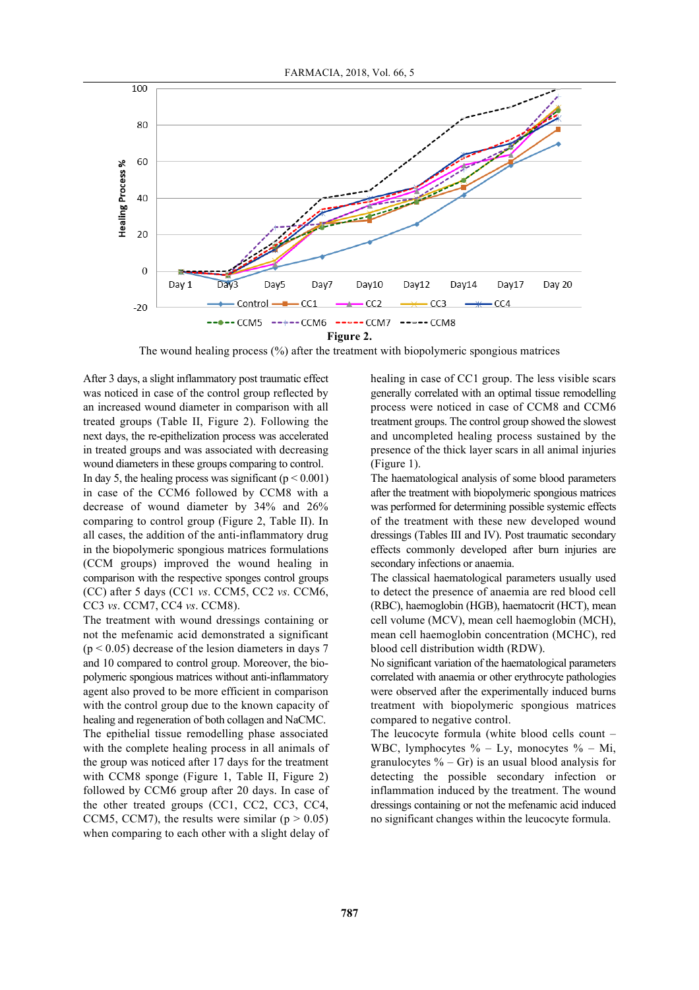

The wound healing process (%) after the treatment with biopolymeric spongious matrices

After 3 days, a slight inflammatory post traumatic effect was noticed in case of the control group reflected by an increased wound diameter in comparison with all treated groups (Table II, Figure 2). Following the next days, the re-epithelization process was accelerated in treated groups and was associated with decreasing wound diameters in these groups comparing to control.

In day 5, the healing process was significant ( $p < 0.001$ ) in case of the CCM6 followed by CCM8 with a decrease of wound diameter by 34% and 26% comparing to control group (Figure 2, Table II). In all cases, the addition of the anti-inflammatory drug in the biopolymeric spongious matrices formulations (CCM groups) improved the wound healing in comparison with the respective sponges control groups (CC) after 5 days (CC1 *vs*. CCM5, CC2 *vs*. CCM6, CC3 *vs*. CCM7, CC4 *vs*. CCM8).

The treatment with wound dressings containing or not the mefenamic acid demonstrated a significant  $(p < 0.05)$  decrease of the lesion diameters in days 7 and 10 compared to control group. Moreover, the biopolymeric spongious matrices without anti-inflammatory agent also proved to be more efficient in comparison with the control group due to the known capacity of healing and regeneration of both collagen and NaCMC. The epithelial tissue remodelling phase associated with the complete healing process in all animals of the group was noticed after 17 days for the treatment with CCM8 sponge (Figure 1, Table II, Figure 2) followed by CCM6 group after 20 days. In case of the other treated groups (CC1, CC2, CC3, CC4, CCM5, CCM7), the results were similar ( $p > 0.05$ ) when comparing to each other with a slight delay of healing in case of CC1 group. The less visible scars generally correlated with an optimal tissue remodelling process were noticed in case of CCM8 and CCM6 treatment groups. The control group showed the slowest and uncompleted healing process sustained by the presence of the thick layer scars in all animal injuries (Figure 1).

The haematological analysis of some blood parameters after the treatment with biopolymeric spongious matrices was performed for determining possible systemic effects of the treatment with these new developed wound dressings (Tables III and IV). Post traumatic secondary effects commonly developed after burn injuries are secondary infections or anaemia.

The classical haematological parameters usually used to detect the presence of anaemia are red blood cell (RBC), haemoglobin (HGB), haematocrit (HCT), mean cell volume (MCV), mean cell haemoglobin (MCH), mean cell haemoglobin concentration (MCHC), red blood cell distribution width (RDW).

No significant variation of the haematological parameters correlated with anaemia or other erythrocyte pathologies were observed after the experimentally induced burns treatment with biopolymeric spongious matrices compared to negative control.

The leucocyte formula (white blood cells count – WBC, lymphocytes  $\%$  – Ly, monocytes  $\%$  – Mi, granulocytes  $% - Gr$ ) is an usual blood analysis for detecting the possible secondary infection or inflammation induced by the treatment. The wound dressings containing or not the mefenamic acid induced no significant changes within the leucocyte formula.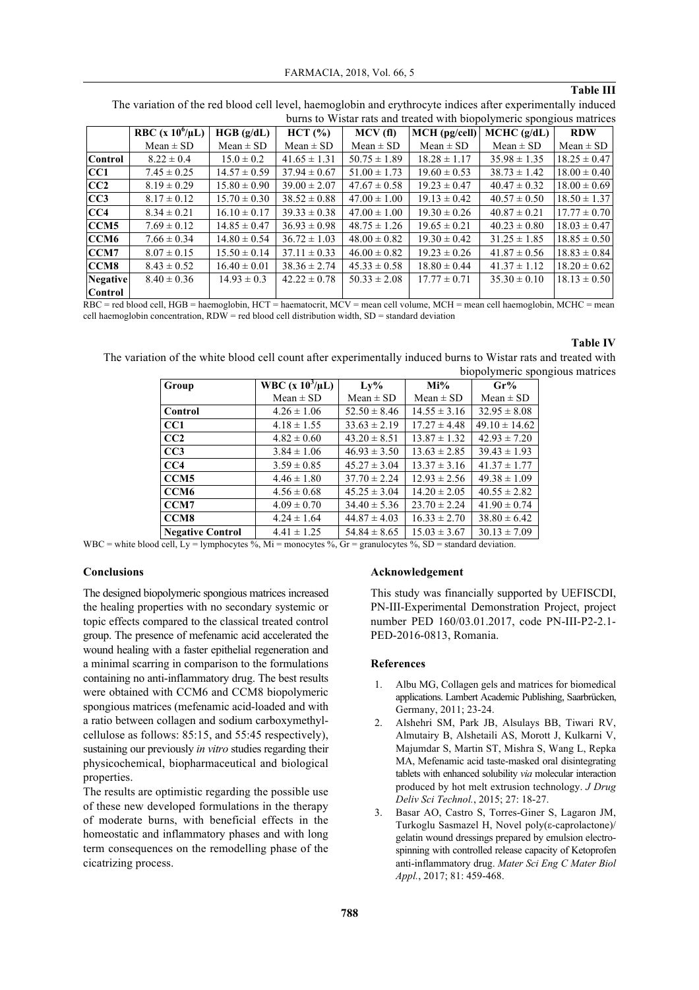## **Table III**

|                 | but to which take and treated with proporyment spongrous matrices |                  |                  |                  |                  |                  |                  |
|-----------------|-------------------------------------------------------------------|------------------|------------------|------------------|------------------|------------------|------------------|
|                 | RBC (x $10^6/\mu L$ )                                             | HGB (g/dL)       | HCT (%)          | MCV(f)           | $MCH$ (pg/cell)  | MCHC (g/dL)      | <b>RDW</b>       |
|                 | $Mean \pm SD$                                                     | $Mean \pm SD$    | $Mean \pm SD$    | $Mean \pm SD$    | $Mean \pm SD$    | $Mean \pm SD$    | $Mean \pm SD$    |
| <b>Control</b>  | $8.22 \pm 0.4$                                                    | $15.0 \pm 0.2$   | $41.65 \pm 1.31$ | $50.75 \pm 1.89$ | $18.28 \pm 1.17$ | $35.98 \pm 1.35$ | $18.25 \pm 0.47$ |
| <b>CC1</b>      | $7.45 \pm 0.25$                                                   | $14.57 \pm 0.59$ | $37.94 \pm 0.67$ | $51.00 \pm 1.73$ | $19.60 \pm 0.53$ | $38.73 \pm 1.42$ | $18.00 \pm 0.40$ |
| CC2             | $8.19 \pm 0.29$                                                   | $15.80 \pm 0.90$ | $39.00 \pm 2.07$ | $47.67 \pm 0.58$ | $19.23 \pm 0.47$ | $40.47 \pm 0.32$ | $18.00 \pm 0.69$ |
| CC3             | $8.17 \pm 0.12$                                                   | $15.70 \pm 0.30$ | $38.52 \pm 0.88$ | $47.00 \pm 1.00$ | $19.13 \pm 0.42$ | $40.57 \pm 0.50$ | $18.50 \pm 1.37$ |
| CC4             | $8.34 \pm 0.21$                                                   | $16.10 \pm 0.17$ | $39.33 \pm 0.38$ | $47.00 \pm 1.00$ | $19.30 \pm 0.26$ | $40.87 \pm 0.21$ | $17.77 \pm 0.70$ |
| CCM5            | $7.69 \pm 0.12$                                                   | $14.85 \pm 0.47$ | $36.93 \pm 0.98$ | $48.75 \pm 1.26$ | $19.65 \pm 0.21$ | $40.23 \pm 0.80$ | $18.03 \pm 0.47$ |
| CCM6            | $7.66 \pm 0.34$                                                   | $14.80 \pm 0.54$ | $36.72 \pm 1.03$ | $48.00 \pm 0.82$ | $19.30 \pm 0.42$ | $31.25 \pm 1.85$ | $18.85 \pm 0.50$ |
| CCM7            | $8.07 \pm 0.15$                                                   | $15.50 \pm 0.14$ | $37.11 \pm 0.33$ | $46.00 \pm 0.82$ | $19.23 \pm 0.26$ | $41.87 \pm 0.56$ | $18.83 \pm 0.84$ |
| <b>CCM8</b>     | $8.43 \pm 0.52$                                                   | $16.40 \pm 0.01$ | $38.36 \pm 2.74$ | $45.33 \pm 0.58$ | $18.80 \pm 0.44$ | $41.37 \pm 1.12$ | $18.20 \pm 0.62$ |
| <b>Negative</b> | $8.40 \pm 0.36$                                                   | $14.93 \pm 0.3$  | $42.22 \pm 0.78$ | $50.33 \pm 2.08$ | $17.77 \pm 0.71$ | $35.30 \pm 0.10$ | $18.13 \pm 0.50$ |
| Control         |                                                                   |                  |                  |                  |                  |                  |                  |

The variation of the red blood cell level, haemoglobin and erythrocyte indices after experimentally induced burns to Wistar rats and treated with biopolymeric spongious matrices

RBC = red blood cell, HGB = haemoglobin, HCT = haematocrit, MCV = mean cell volume, MCH = mean cell haemoglobin, MCHC = mean cell haemoglobin concentration, RDW = red blood cell distribution width, SD = standard deviation

#### **Table IV**

The variation of the white blood cell count after experimentally induced burns to Wistar rats and treated with biopolymeric spongious matrices

| Group                   | <b>WBC</b> (x $10^3/\mu L$ ) | Ly%              | $Mi\%$           | Gr%               |
|-------------------------|------------------------------|------------------|------------------|-------------------|
|                         | $Mean \pm SD$                | $Mean \pm SD$    | $Mean \pm SD$    | $Mean \pm SD$     |
| Control                 | $4.26 \pm 1.06$              | $52.50 \pm 8.46$ | $14.55 \pm 3.16$ | $32.95 \pm 8.08$  |
| CC <sub>1</sub>         | $4.18 \pm 1.55$              | $33.63 \pm 2.19$ | $17.27 \pm 4.48$ | $49.10 \pm 14.62$ |
| CC2                     | $4.82 \pm 0.60$              | $43.20 \pm 8.51$ | $13.87 \pm 1.32$ | $42.93 \pm 7.20$  |
| CC3                     | $3.84 \pm 1.06$              | $46.93 \pm 3.50$ | $13.63 \pm 2.85$ | $39.43 \pm 1.93$  |
| CC4                     | $3.59 \pm 0.85$              | $45.27 \pm 3.04$ | $13.37 \pm 3.16$ | $41.37 \pm 1.77$  |
| CCM <sub>5</sub>        | $4.46 \pm 1.80$              | $37.70 \pm 2.24$ | $12.93 \pm 2.56$ | $49.38 \pm 1.09$  |
| CCM <sub>6</sub>        | $4.56 \pm 0.68$              | $45.25 \pm 3.04$ | $14.20 \pm 2.05$ | $40.55 \pm 2.82$  |
| CCM7                    | $4.09 \pm 0.70$              | $34.40 \pm 5.36$ | $23.70 \pm 2.24$ | $41.90 \pm 0.74$  |
| CCM <sub>8</sub>        | $4.24 \pm 1.64$              | $44.87 \pm 4.03$ | $16.33 \pm 2.70$ | $38.80 \pm 6.42$  |
| <b>Negative Control</b> | $4.41 \pm 1.25$              | $54.84 \pm 8.65$ | $15.03 \pm 3.67$ | $30.13 \pm 7.09$  |

WBC = white blood cell, Ly = lymphocytes %, Mi = monocytes %, Gr = granulocytes %, SD = standard deviation.

#### **Conclusions**

The designed biopolymeric spongious matrices increased the healing properties with no secondary systemic or topic effects compared to the classical treated control group. The presence of mefenamic acid accelerated the wound healing with a faster epithelial regeneration and a minimal scarring in comparison to the formulations containing no anti-inflammatory drug. The best results were obtained with CCM6 and CCM8 biopolymeric spongious matrices (mefenamic acid-loaded and with a ratio between collagen and sodium carboxymethylcellulose as follows: 85:15, and 55:45 respectively), sustaining our previously *in vitro* studies regarding their physicochemical, biopharmaceutical and biological properties.

The results are optimistic regarding the possible use of these new developed formulations in the therapy of moderate burns, with beneficial effects in the homeostatic and inflammatory phases and with long term consequences on the remodelling phase of the cicatrizing process.

#### **Acknowledgement**

This study was financially supported by UEFISCDI, PN-III-Experimental Demonstration Project, project number PED 160/03.01.2017, code PN-III-P2-2.1- PED-2016-0813, Romania.

## **References**

- 1. Albu MG, Collagen gels and matrices for biomedical applications. Lambert Academic Publishing, Saarbrücken, Germany, 2011; 23-24.
- 2. Alshehri SM, Park JB, Alsulays BB, Tiwari RV, Almutairy B, Alshetaili AS, Morott J, Kulkarni V, Majumdar S, Martin ST, Mishra S, Wang L, Repka MA, Mefenamic acid taste-masked oral disintegrating tablets with enhanced solubility *via* molecular interaction produced by hot melt extrusion technology. *J Drug Deliv Sci Technol.*, 2015; 27: 18-27.
- 3. Basar AO, Castro S, Torres-Giner S, Lagaron JM, Turkoglu Sasmazel H, Novel poly(ε-caprolactone)/ gelatin wound dressings prepared by emulsion electrospinning with controlled release capacity of Ketoprofen anti-inflammatory drug. *Mater Sci Eng C Mater Biol Appl.*, 2017; 81: 459-468.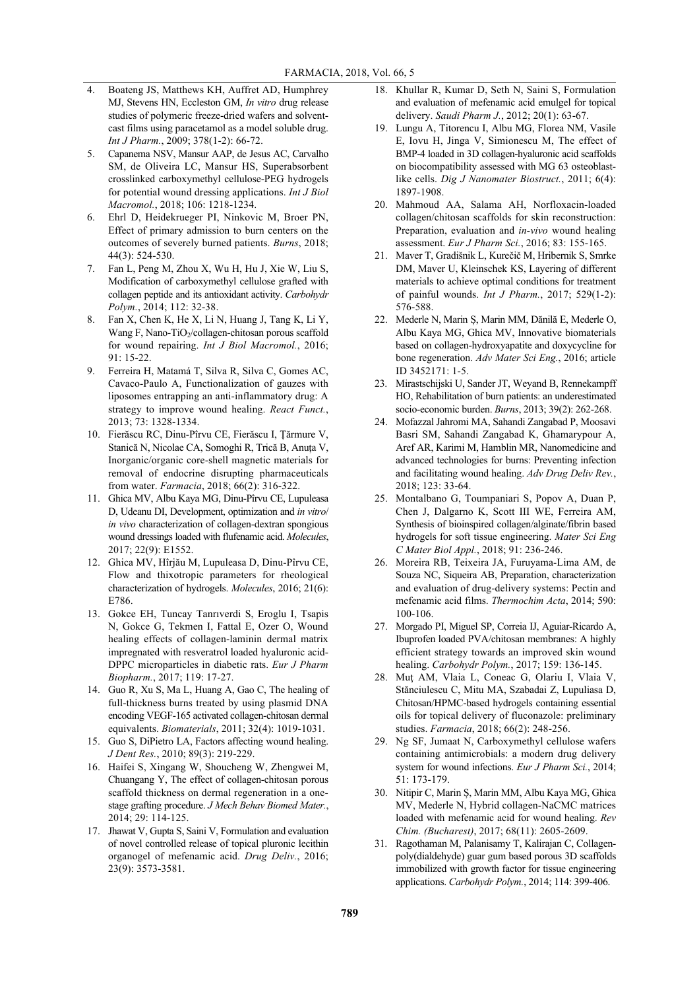- 4. Boateng JS, Matthews KH, Auffret AD, Humphrey MJ, Stevens HN, Eccleston GM, *In vitro* drug release studies of polymeric freeze-dried wafers and solventcast films using paracetamol as a model soluble drug. *Int J Pharm.*, 2009; 378(1-2): 66-72.
- 5. Capanema NSV, Mansur AAP, de Jesus AC, Carvalho SM, de Oliveira LC, Mansur HS, Superabsorbent crosslinked carboxymethyl cellulose-PEG hydrogels for potential wound dressing applications. *Int J Biol Macromol.*, 2018; 106: 1218-1234.
- 6. Ehrl D, Heidekrueger PI, Ninkovic M, Broer PN, Effect of primary admission to burn centers on the outcomes of severely burned patients. *Burns*, 2018; 44(3): 524-530.
- 7. Fan L, Peng M, Zhou X, Wu H, Hu J, Xie W, Liu S, Modification of carboxymethyl cellulose grafted with collagen peptide and its antioxidant activity. *Carbohydr Polym.*, 2014; 112: 32-38.
- 8. Fan X, Chen K, He X, Li N, Huang J, Tang K, Li Y, Wang F, Nano-TiO<sub>2</sub>/collagen-chitosan porous scaffold for wound repairing. *Int J Biol Macromol.*, 2016; 91: 15-22.
- 9. Ferreira H, Matamá T, Silva R, Silva C, Gomes AC, Cavaco-Paulo A, Functionalization of gauzes with liposomes entrapping an anti-inflammatory drug: A strategy to improve wound healing. *React Funct.*, 2013; 73: 1328-1334.
- 10. Fierăscu RC, Dinu-Pîrvu CE, Fierăscu I, Țărmure V, Stanică N, Nicolae CA, Somoghi R, Trică B, Anuța V, Inorganic/organic core-shell magnetic materials for removal of endocrine disrupting pharmaceuticals from water. *Farmacia*, 2018; 66(2): 316-322.
- 11. Ghica MV, Albu Kaya MG, Dinu-Pîrvu CE, Lupuleasa D, Udeanu DI, Development, optimization and *in vitro*/ *in vivo* characterization of collagen-dextran spongious wound dressings loaded with flufenamic acid. *Molecules*, 2017; 22(9): E1552.
- 12. Ghica MV, Hîrjău M, Lupuleasa D, Dinu-Pîrvu CE, Flow and thixotropic parameters for rheological characterization of hydrogels. *Molecules*, 2016; 21(6): E786.
- 13. Gokce EH, Tuncay Tanrıverdi S, Eroglu I, Tsapis N, Gokce G, Tekmen I, Fattal E, Ozer O, Wound healing effects of collagen-laminin dermal matrix impregnated with resveratrol loaded hyaluronic acid-DPPC microparticles in diabetic rats. *Eur J Pharm Biopharm.*, 2017; 119: 17-27.
- 14. Guo R, Xu S, Ma L, Huang A, Gao C, The healing of full-thickness burns treated by using plasmid DNA encoding VEGF-165 activated collagen-chitosan dermal equivalents. *Biomaterials*, 2011; 32(4): 1019-1031.
- 15. Guo S, DiPietro LA, Factors affecting wound healing. *J Dent Res.*, 2010; 89(3): 219-229.
- 16. Haifei S, Xingang W, Shoucheng W, Zhengwei M, Chuangang Y, The effect of collagen-chitosan porous scaffold thickness on dermal regeneration in a onestage grafting procedure. *J Mech Behav Biomed Mater.*, 2014; 29: 114-125.
- 17. Jhawat V, Gupta S, Saini V, Formulation and evaluation of novel controlled release of topical pluronic lecithin organogel of mefenamic acid. *Drug Deliv.*, 2016; 23(9): 3573-3581.
- 18. Khullar R, Kumar D, Seth N, Saini S, Formulation and evaluation of mefenamic acid emulgel for topical delivery. *Saudi Pharm J.*, 2012; 20(1): 63-67.
- 19. Lungu A, Titorencu I, Albu MG, Florea NM, Vasile E, Iovu H, Jinga V, Simionescu M, The effect of BMP-4 loaded in 3D collagen-hyaluronic acid scaffolds on biocompatibility assessed with MG 63 osteoblastlike cells. *Dig J Nanomater Biostruct.*, 2011; 6(4): 1897-1908.
- 20. Mahmoud AA, Salama AH, Norfloxacin-loaded collagen/chitosan scaffolds for skin reconstruction: Preparation, evaluation and *in-vivo* wound healing assessment. *Eur J Pharm Sci.*, 2016; 83: 155-165.
- 21. Maver T, Gradišnik L, Kurečič M, Hribernik S, Smrke DM, Maver U, Kleinschek KS, Layering of different materials to achieve optimal conditions for treatment of painful wounds. *Int J Pharm.*, 2017; 529(1-2): 576-588.
- 22. Mederle N, Marin Ș, Marin MM, Dănilă E, Mederle O, Albu Kaya MG, Ghica MV, Innovative biomaterials based on collagen-hydroxyapatite and doxycycline for bone regeneration. *Adv Mater Sci Eng.*, 2016; article ID 3452171: 1-5.
- 23. Mirastschijski U, Sander JT, Weyand B, Rennekampff HO, Rehabilitation of burn patients: an underestimated socio-economic burden. *Burns*, 2013; 39(2): 262-268.
- 24. Mofazzal Jahromi MA, Sahandi Zangabad P, Moosavi Basri SM, Sahandi Zangabad K, Ghamarypour A, Aref AR, Karimi M, Hamblin MR, Nanomedicine and advanced technologies for burns: Preventing infection and facilitating wound healing. *Adv Drug Deliv Rev.*,  $2018: 123: 33-64$
- 25. Montalbano G, Toumpaniari S, Popov A, Duan P, Chen J, Dalgarno K, Scott III WE, Ferreira AM, Synthesis of bioinspired collagen/alginate/fibrin based hydrogels for soft tissue engineering. *Mater Sci Eng C Mater Biol Appl.*, 2018; 91: 236-246.
- 26. Moreira RB, Teixeira JA, Furuyama-Lima AM, de Souza NC, Siqueira AB, Preparation, characterization and evaluation of drug-delivery systems: Pectin and mefenamic acid films. *Thermochim Acta*, 2014; 590: 100-106.
- 27. Morgado PI, Miguel SP, Correia IJ, Aguiar-Ricardo A, Ibuprofen loaded PVA/chitosan membranes: A highly efficient strategy towards an improved skin wound healing. *Carbohydr Polym.*, 2017; 159: 136-145.
- 28. Mut AM, Vlaia L, Coneac G, Olariu I, Vlaia V, Stănciulescu C, Mitu MA, Szabadai Z, Lupuliasa D, Chitosan/HPMC-based hydrogels containing essential oils for topical delivery of fluconazole: preliminary studies. *Farmacia*, 2018; 66(2): 248-256.
- 29. Ng SF, Jumaat N, Carboxymethyl cellulose wafers containing antimicrobials: a modern drug delivery system for wound infections. *Eur J Pharm Sci.*, 2014; 51: 173-179.
- 30. Nitipir C, Marin Ș, Marin MM, Albu Kaya MG, Ghica MV, Mederle N, Hybrid collagen-NaCMC matrices loaded with mefenamic acid for wound healing. *Rev Chim. (Bucharest)*, 2017; 68(11): 2605-2609.
- 31. Ragothaman M, Palanisamy T, Kalirajan C, Collagenpoly(dialdehyde) guar gum based porous 3D scaffolds immobilized with growth factor for tissue engineering applications. *Carbohydr Polym.*, 2014; 114: 399-406.